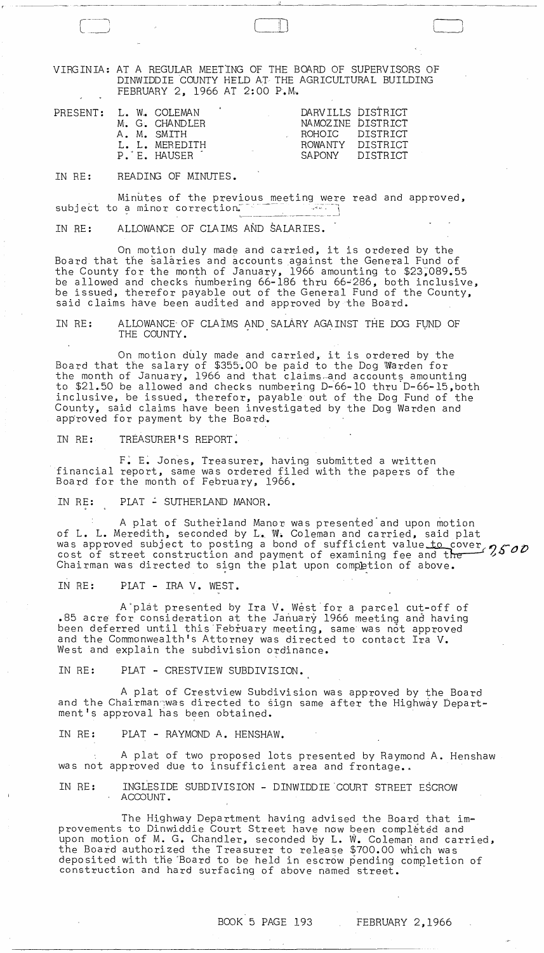VIRGINIA: AT A REGULAR MEETING OF THE BOARD OF SUPERVISORS OF DINWIDDIE COUNTY HELD AT THE AGRICULTURAL BUILDING FEBRUARY 2, 1966 AT 2:00 P.M-.

 $\Box$ 

-~-~--------------------~

| PRESENT: L. W. COLEMAN<br>M. G. CHANDLER<br>A. M. SMITH<br>L. L. MEREDITH<br>P. E. HAUSER |  | DARVILLS DISTRICT<br>NAMOZINE DISTRICT<br>ROHOIC DISTRICT<br>ROWANTY DISTRICT<br>SAPONY DISTRICT |  |
|-------------------------------------------------------------------------------------------|--|--------------------------------------------------------------------------------------------------|--|
|-------------------------------------------------------------------------------------------|--|--------------------------------------------------------------------------------------------------|--|

IN RE: READING OF MINUTES.

Minutes of the previous meeting were read and approved, subject to a minor correction.~~

IN RE: ALLOWANCE OF CLAIMS AND SALARIES.

On motion duly made and carried, it is ordered by the Board that the salaries and accounts against the General Fund of the County for the month of January, 1966 amounting to \$23;089.55 be allowed and checks numbering 66-186 thru 66~286, both inclusive, be issued, therefor payable out of the General Fund of the County, said claims have been audited and approved by the Board.

IN RE: ALLOWANCE OF CLAIMS AND SALARY AGAINST THE DOG FUND OF THE COUNTY.

On motion duly made and carried, it is ordered by the Board that the salary of \$355.00 be paid to the Dog Warden for the month of January, 1966 and that claims and accounts amounting to \$21.50 be allowed and checks numbering D-66-10 thru D-66-15,both inclusive, be issued, therefor, payable out of the Dog Fund of the County, said claims have been investigated by the Dog Warden and approved for payment by the Board.

IN RE: TRÉASURER'S REPORT.

F: E: Jones, treasurer, having SUbmitted a written financial report, same was ordered filed with the papers of the Board for the month of February, 1966.

IN RE: PLAT - SUTHERLAND MANOR.

A plat of Sutherland Manor was presented and upon motion of L. L. Meredith, seconded by L. W. Coleman and carried, said plat was approved subject to posting a bond of sufficient value to cover  $2500$ <br>cost of street construction and payment of examining fee and the Chairman was directed to sign the plat upon completion of above.

IN RE: PLAT - IRA V. WEST.

A plat presented by Ira V. West for a parcel cut-off of .85 acre for consideration at the January 1966 meeting and having been deferred until this February meeting, same was not approved and the Commonwealth's Attorney was directed to contact Ira V. West and explain the subdivision ordinance.

IN RE: PLAT - CRESTVIEW SUBDIVISION.

A plat of Crestview Subdivision was approved by the Board and the Chairman was directed to sign same after the Highway Department's approval has been obtained.

IN RE: PLAT - RAYMOND A. HENSHAW.

A plat of two proposed lots presented by Raymond A. Henshaw was not approved due to insufficient area and frontage..

IN RE: INGLESIDE SUBDIVISION - DINWIDDIE COURT STREET ESCROW ACCOUNT.

The Highway Department having advised the Board that improvements to Dinwiddie Court Street have now been completed and upon motion of M. G. Chandler, seconded by L. W. Coleman and carried, the Board authorized the Treasurer to release \$700.00 which was deposited with the Board to be held in escrow pending completion of construction and hard surfacing of above named street.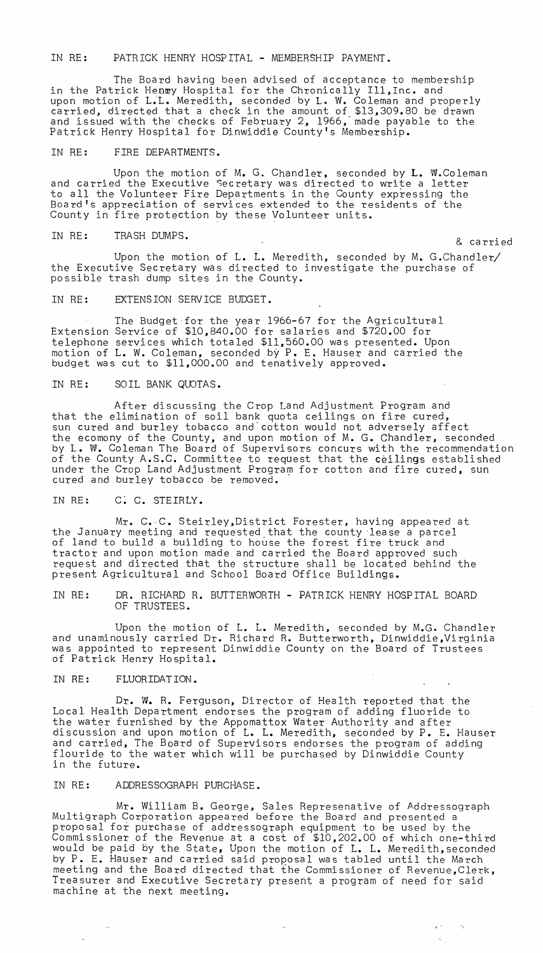IN RE: PATRICK HENRY HOSPITAL - MEMBERSHIP PAYMENT.

The Board having been advised of acceptance to membership in the Patrick Henmy Hospital for the Chronically Ill, Inc. and upon motion of L;L. Meredith, seconded by L. W. Coleman and properly carried, directed that a check in the amount of \$13,309.80 be drawn and issued with the' checks of February 2, 1966,' made payable to the Patrick Henry Hospital for Dinwiddie County's Membership.

IN RE: FIRE DEPARTMENTS.

Upon the motion of M. G. Chandler, seconded by **L.** W.Coleman and carried the Executive Secretary was directed to write a letter to all the Volunteer Fire Departments in the County expressing the Board's appreciation of services extended to the residents of the County in fire protection by these Volunteer units.

IN RE: TRASH DUMPS. & carried

Upon the motion of L. L. Meredith, seconded by M. G.Chandler/ the Executive Secretary was directed to investigate the purchase of possible trash dump sites in the County.

IN RE: EXTENSION SERVICE BUDGET.

The Budget-for the year 1966-67 for the Agricultural Extension Service of \$10,840.00 for salaries and \$720.00 for telephone services which totaled \$11,560.00 was presented. Upon motion of L. W. Coleman, seconded by P. E. Hauser and carried the budget was cut to \$11,000.00 and tenatively approved.

IN RE: SOIL BANK QUOTAS.

After discussing the Crop Land Adjustment Program and that the elimination of soil bank quota ceilings on fire cured, sun cured and burley tobacco and'cotton would not adversely affect the ecomony of the County, and upon motion of M. G. Chandler, seconded by L. W. Coleman The Board of Supervisors concurs with the recommendation of the County A.S.C. Committee to request that the ceilings established ar and sound, heaven commissed as requese and one scilings essublished cured and burley tobacco be removed.

IN RE: C: C. STEIRLY.

Mr. C.·C. Steirley,District Forester, having appeared at the January meeting and requested that the county 'lease a parcel of land to build a building to house the forest fire truck and tractor and upon motion made and carried the Board approved such request and directed that the structure shall be located behind the present Agricultural and School Board Office Buildings.

IN RE: DR. RICHARD R. BUTTERWORTH - PATRICK HENRY HOSPITAL BOARD OF TRUSTEES.

Upon the motion of L. L. Meredith, seconded by M.G. Chandler and unaminously carried Dr. Richard R. Butterworth, Dinwiddie,Virginia was appointed to represent Dinwiddie County on the Board of Trustees of Patrick Henry Hospital.

IN RE: FLUORIDATION.

Dr. W. R. Ferguson, Director of Health reported that the Local Health Department endorses the program of adding fluoride to the water furnished by the Appomattox Water Authority and after discussion and upon motion of L. L. Meredith, seconded by P. E. Hauser and carried, The Board of Supervisors endorses the program of adding flouride to the water which will be purchased by Dinwiddie County in the future.

IN RE: ADDRESSOGRAPH PURCHASE.

Mr. William B. George, Sales Represenative of Addressograph Multigraph Corporation appeared before the Board and presented a proposal for purchase of addressograph equipment to be used by the Commissioner of the Revenue at a cost of \$10,202.00 of which one-third would be paid by the State, Upon the motion of L. L. Meredith, seconded by P. E. Hauser and carried said proposal was tabled until the March meeting and the Board directed that the Commissioner of Revenue,Clerk, Treasurer and Executive Secretary present a program of need for said machine at the next meeting.

, -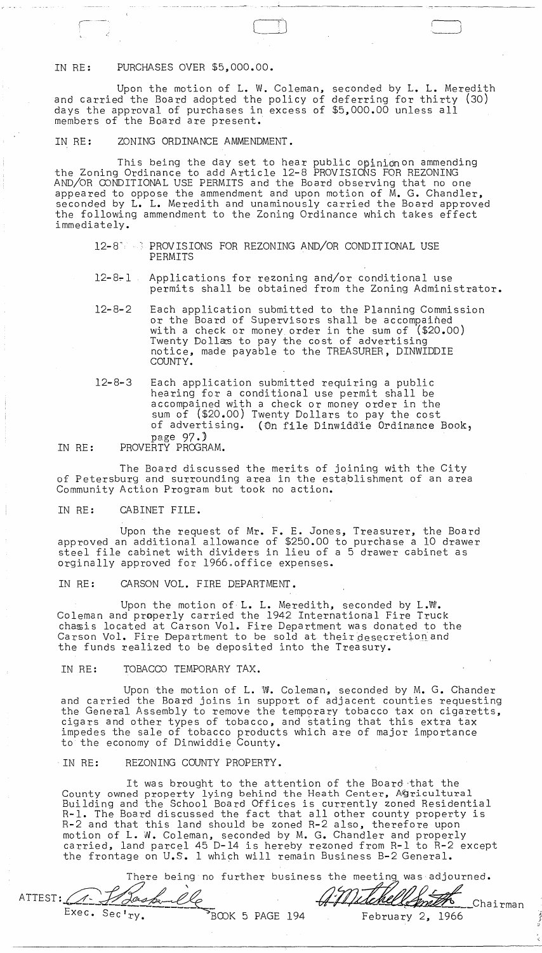# IN RE: PURCHASES OVER \$5,000.00.

Upon the motion of L. W. Coleman, seconded by L. L. Meredith and carried the Board adopted the policy of deferring for thirty (30) days the approval of purchases in excess of \$5,000.00 unless all members of the Board are present.

 $\Box$ 

r '

### IN RE: ZONING ORDINANCE AMMENDMENT.

This being the day set to hear public opinionon ammending the Zoning Ordinance to add Article 12-8 PROVISIONS FOR REZONING AND/OR CONDITIONAL USE PERMITS and the Board observing that no one appeared to oppose the ammendment and upon motion of  $\bar{M}_*$ . G. Chandler, seconded by L. L. Meredith and unaminously carried the Board approved the following ammendment to the Zoning Ordinance which takes effect immediately.

- 12-8" PROVISIONS FOR REZONING AND/OR CONDITIONAL USE PERMITS
- 12-8~1 Applications for rezoning and/or conditional use permits shall be obtained from the Zoning Administrator.
- 12-8-2 Each application submitted to the Planning Commission or the Board of Supervisors shall be accompained with a check or money order in the sum of (\$20.00) Twenty Dollas to pay the cost of advertising notice, made payable to the TREASURER, DINWIDDIE COUNTY.
- 12-8-3 Each application submitted requiring a public hearing for a conditional use permit shall be accompained with a check or money order in the sum of (\$20.00) Twenty Dollars to pay the cost of advertising. (On file Dinwiddie Ordinance Book, page 97.)

# IN RE: PROVERTY PROGRAM.

The Board discussed the merits of joining with the City of Petersburg and surrounding area in the establishment of an area Community Action Program but took no action.

IN RE: CABINET FILE.

Upon the request of Mr. F. E. Jones, Treasurer, the Board approved an additional allowance of \$250.00 to purchase a 10 drawer steel file cabinet with dividers in lieu of a 5 drawer cabinet as orginally approved for 1966.office expenses.

IN RE: CARSON VOL. FIRE DEPARTMENT.

Upon the motion of L. L. Meredith, seconded by L.W. Coleman and properly carried the 1942 International Fire Truck chasis located at Carson Vol. Fire Department was donated to the Carson Vol. Fire Department to be sold at their desecretion and the funds realized to be deposited into the Treasury.

#### IN RE: TOBACCO TEMPORARY TAX.

Upon the motion of L. W. Coleman, seconded by M. G. Chander and carried the Board joins in support of adjacent counties requesting the General Assembly to remove the temporary tobacco tax on cigaretts, cigars and other types of tobacco, and stating that this extra tax impedes the sale of tobacco products which are of major importance to the economy of Dinwiddie County.

#### IN RE: REZONING COUNTY PROPERTY.

It was brought to the attention of the Board-that the County owned property lying behind the Heath Center, Agricultural Building and the School Board Offices is currently zoned Residential Building and the School Board Offices is currently zoned hesidential<br>R-1. The Board discussed the fact that all other county property is R-2 and that this land should be zoned R-2 also, therefore upon motion of L. W. Coleman, seconded by M. G. Chandler and properly carried, land parcel 45 D-14 is hereby rezoned from R-l to R-2 except the frontage on U.S. 1 which will remain Business B-2 General.

There being no further business the meeting was adjourned. ATTEST: A José Lle 47 Milenelle Chairman Exec. Sec'ry. BOOK 5 PAGE 194 February 2, 1966